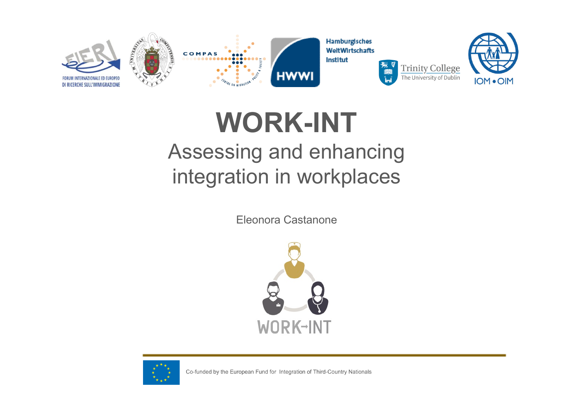

**WORK-INT** Assessing and enhancing integration in workplaces

Eleonora Castanone





Co-funded by the European Fund for Integration of Third-Country Nationals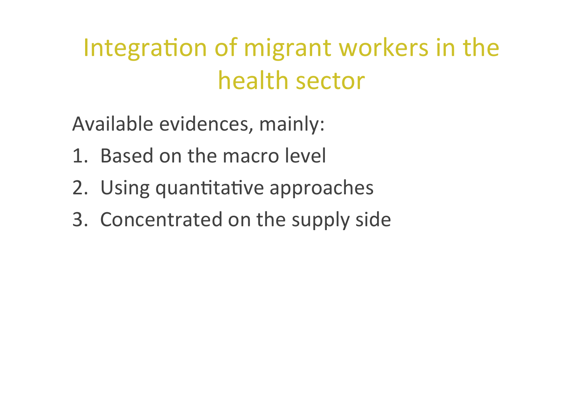### Integration of migrant workers in the health sector

Available evidences, mainly:

- 1. Based on the macro level
- 2. Using quantitative approaches
- 3. Concentrated on the supply side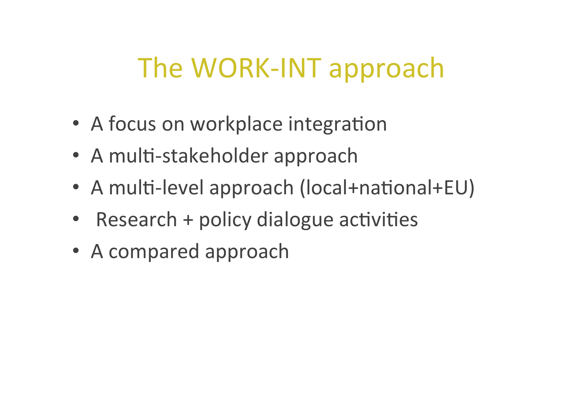# The WORK-INT approach

- A focus on workplace integration
- A multi-stakeholder approach
- A multi-level approach (local+national+EU)
- Research  $+$  policy dialogue activities
- A compared approach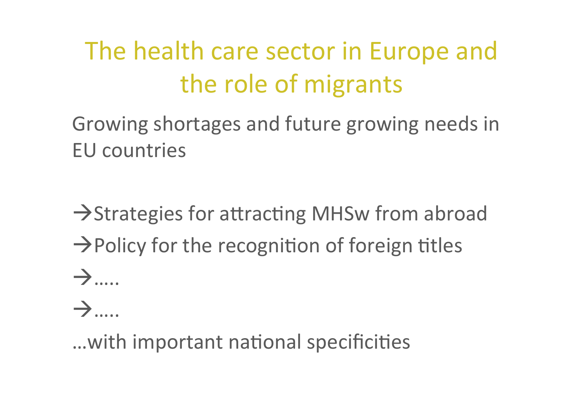## The health care sector in Europe and the role of migrants

Growing shortages and future growing needs in **EU** countries

 $\rightarrow$ Strategies for attracting MHSw from abroad  $\rightarrow$  Policy for the recognition of foreign titles  $\rightarrow$ 

 $\rightarrow$  .....

... with important national specificities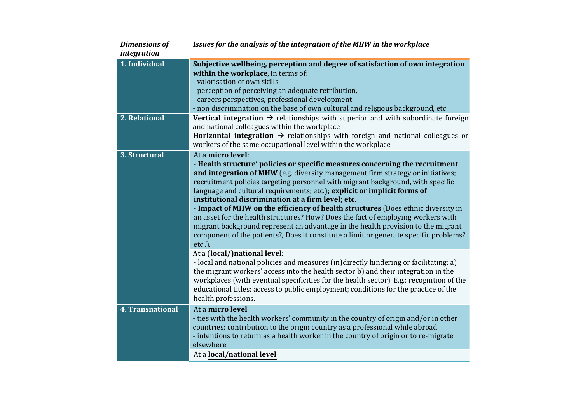| 1. Individual    | Subjective wellbeing, perception and degree of satisfaction of own integration<br>within the workplace, in terms of:<br>- valorisation of own skills<br>- perception of perceiving an adequate retribution,<br>- careers perspectives, professional development<br>- non discrimination on the base of own cultural and religious background, etc.                                                                                                                                                                                                                                                                                                                                                                                                                                                                                                                                                                                                                                                                                                                                                                                                                                               |
|------------------|--------------------------------------------------------------------------------------------------------------------------------------------------------------------------------------------------------------------------------------------------------------------------------------------------------------------------------------------------------------------------------------------------------------------------------------------------------------------------------------------------------------------------------------------------------------------------------------------------------------------------------------------------------------------------------------------------------------------------------------------------------------------------------------------------------------------------------------------------------------------------------------------------------------------------------------------------------------------------------------------------------------------------------------------------------------------------------------------------------------------------------------------------------------------------------------------------|
| 2. Relational    | <b>Vertical integration <math>\rightarrow</math></b> relationships with superior and with subordinate foreign<br>and national colleagues within the workplace<br><b>Horizontal integration <math>\rightarrow</math></b> relationships with foreign and national colleagues or<br>workers of the same occupational level within the workplace                                                                                                                                                                                                                                                                                                                                                                                                                                                                                                                                                                                                                                                                                                                                                                                                                                                     |
| 3. Structural    | At a micro level:<br>- Health structure' policies or specific measures concerning the recruitment<br>and integration of MHW (e.g. diversity management firm strategy or initiatives;<br>recruitment policies targeting personnel with migrant background, with specific<br>language and cultural requirements; etc.); explicit or implicit forms of<br>institutional discrimination at a firm level; etc.<br>- Impact of MHW on the efficiency of health structures (Does ethnic diversity in<br>an asset for the health structures? How? Does the fact of employing workers with<br>migrant background represent an advantage in the health provision to the migrant<br>component of the patients?, Does it constitute a limit or generate specific problems?<br>etc).<br>At a (local/)national level:<br>- local and national policies and measures (in)directly hindering or facilitating: a)<br>the migrant workers' access into the health sector b) and their integration in the<br>workplaces (with eventual specificities for the health sector). E.g.: recognition of the<br>educational titles; access to public employment; conditions for the practice of the<br>health professions. |
| 4. Transnational | At a micro level<br>- ties with the health workers' community in the country of origin and/or in other<br>countries; contribution to the origin country as a professional while abroad<br>- intentions to return as a health worker in the country of origin or to re-migrate<br>elsewhere.<br>At a local/national level                                                                                                                                                                                                                                                                                                                                                                                                                                                                                                                                                                                                                                                                                                                                                                                                                                                                         |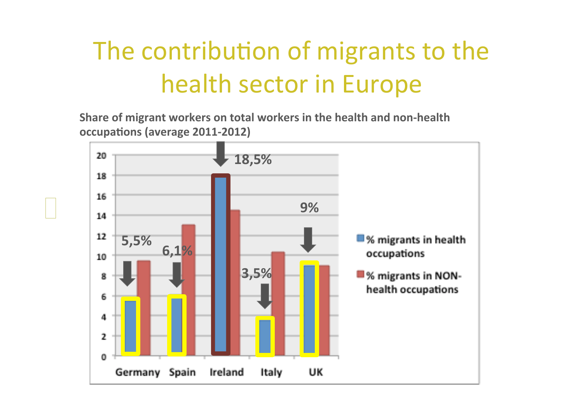## The contribution of migrants to the health sector in Europe

**Share of migrant workers on total workers in the health and non-health occupations (average 2011-2012)** 

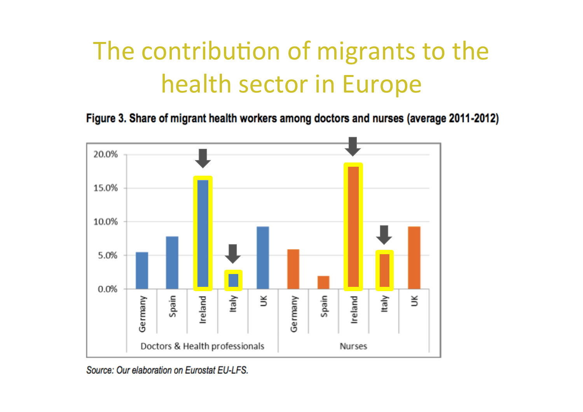## The contribution of migrants to the health sector in Europe

Figure 3. Share of migrant health workers among doctors and nurses (average 2011-2012)



Source: Our elaboration on Eurostat EU-LFS.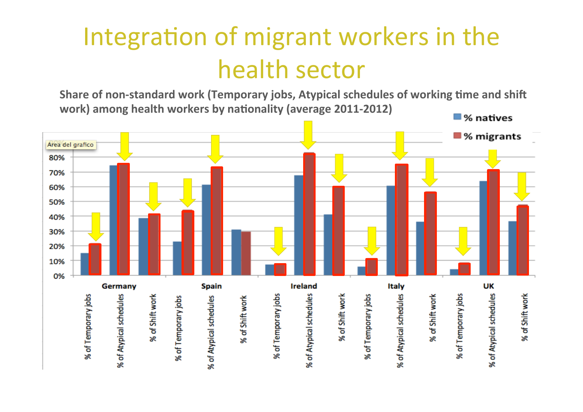#### Integration of migrant workers in the health sector

Share of non-standard work (Temporary jobs, Atypical schedules of working time and shift work) among health workers by nationality (average 2011-2012)

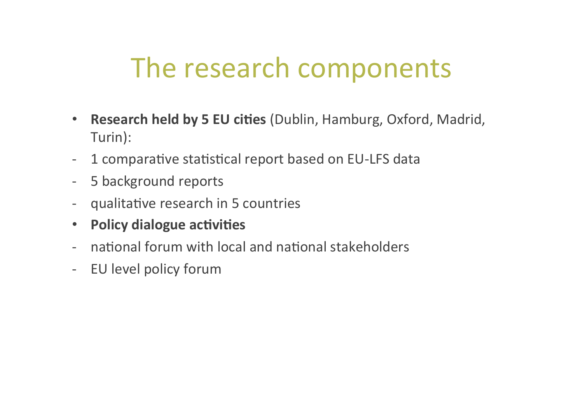### The research components

- **Research held by 5 EU cities** (Dublin, Hamburg, Oxford, Madrid, Turin):
- 1 comparative statistical report based on EU-LFS data
- 5 background reports
- qualitative research in 5 countries
- **Policy dialogue activities**
- national forum with local and national stakeholders
- EU level policy forum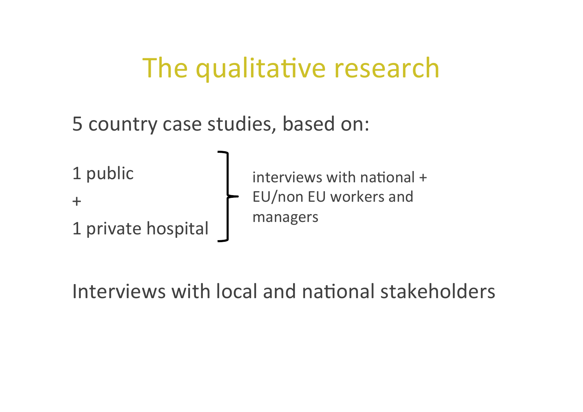#### The qualitative research

5 country case studies, based on:

1 public

+ 

1 private hospital

 $interviews$  with national  $+$ EU/non EU workers and managers

Interviews with local and national stakeholders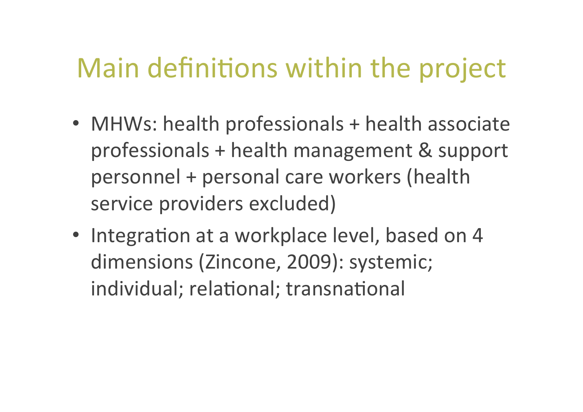## Main definitions within the project

- MHWs: health professionals + health associate professionals + health management & support personnel + personal care workers (health service providers excluded)
- Integration at a workplace level, based on 4 dimensions (Zincone, 2009): systemic; individual; relational; transnational